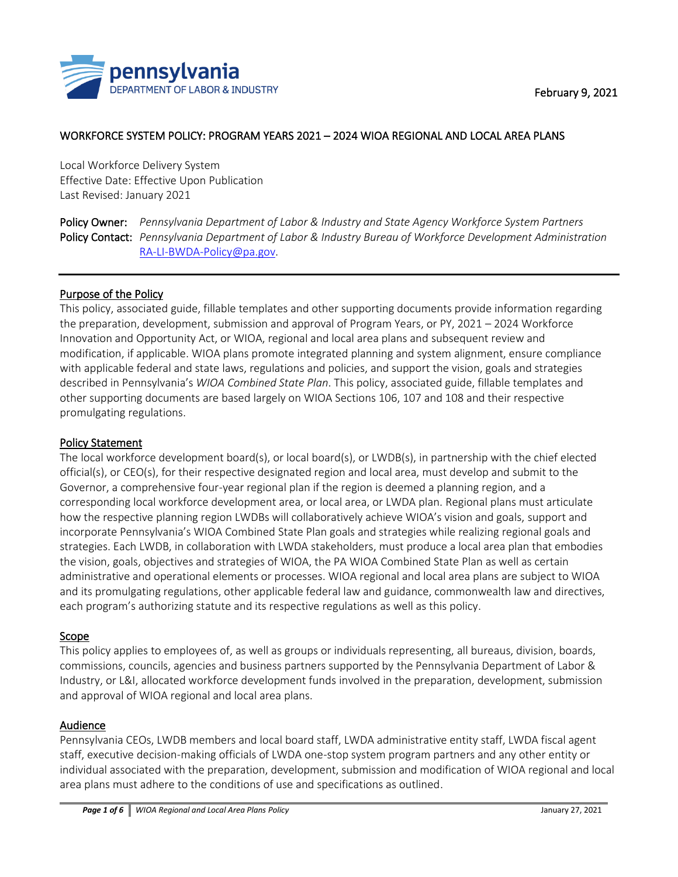

# WORKFORCE SYSTEM POLICY: PROGRAM YEARS 2021 – 2024 WIOA REGIONAL AND LOCAL AREA PLANS

Local Workforce Delivery System Effective Date: Effective Upon Publication Last Revised: January 2021

Policy Owner: *Pennsylvania Department of Labor & Industry and State Agency Workforce System Partners*  Policy Contact: *Pennsylvania Department of Labor & Industry Bureau of Workforce Development Administration* [RA-LI-BWDA-Policy@pa.gov.](mailto:RA-LI-BWDA-Policy@pa.gov)

### Purpose of the Policy

This policy, associated guide, fillable templates and other supporting documents provide information regarding the preparation, development, submission and approval of Program Years, or PY, 2021 – 2024 Workforce Innovation and Opportunity Act, or WIOA, regional and local area plans and subsequent review and modification, if applicable. WIOA plans promote integrated planning and system alignment, ensure compliance with applicable federal and state laws, regulations and policies, and support the vision, goals and strategies described in Pennsylvania's *WIOA Combined State Plan*. This policy, associated guide, fillable templates and other supporting documents are based largely on WIOA Sections 106, 107 and 108 and their respective promulgating regulations.

### Policy Statement

The local workforce development board(s), or local board(s), or LWDB(s), in partnership with the chief elected official(s), or CEO(s), for their respective designated region and local area, must develop and submit to the Governor, a comprehensive four-year regional plan if the region is deemed a planning region, and a corresponding local workforce development area, or local area, or LWDA plan. Regional plans must articulate how the respective planning region LWDBs will collaboratively achieve WIOA's vision and goals, support and incorporate Pennsylvania's WIOA Combined State Plan goals and strategies while realizing regional goals and strategies. Each LWDB, in collaboration with LWDA stakeholders, must produce a local area plan that embodies the vision, goals, objectives and strategies of WIOA, the PA WIOA Combined State Plan as well as certain administrative and operational elements or processes. WIOA regional and local area plans are subject to WIOA and its promulgating regulations, other applicable federal law and guidance, commonwealth law and directives, each program's authorizing statute and its respective regulations as well as this policy.

### Scope

This policy applies to employees of, as well as groups or individuals representing, all bureaus, division, boards, commissions, councils, agencies and business partners supported by the Pennsylvania Department of Labor & Industry, or L&I, allocated workforce development funds involved in the preparation, development, submission and approval of WIOA regional and local area plans.

# **Audience**

Pennsylvania CEOs, LWDB members and local board staff, LWDA administrative entity staff, LWDA fiscal agent staff, executive decision-making officials of LWDA one-stop system program partners and any other entity or individual associated with the preparation, development, submission and modification of WIOA regional and local area plans must adhere to the conditions of use and specifications as outlined.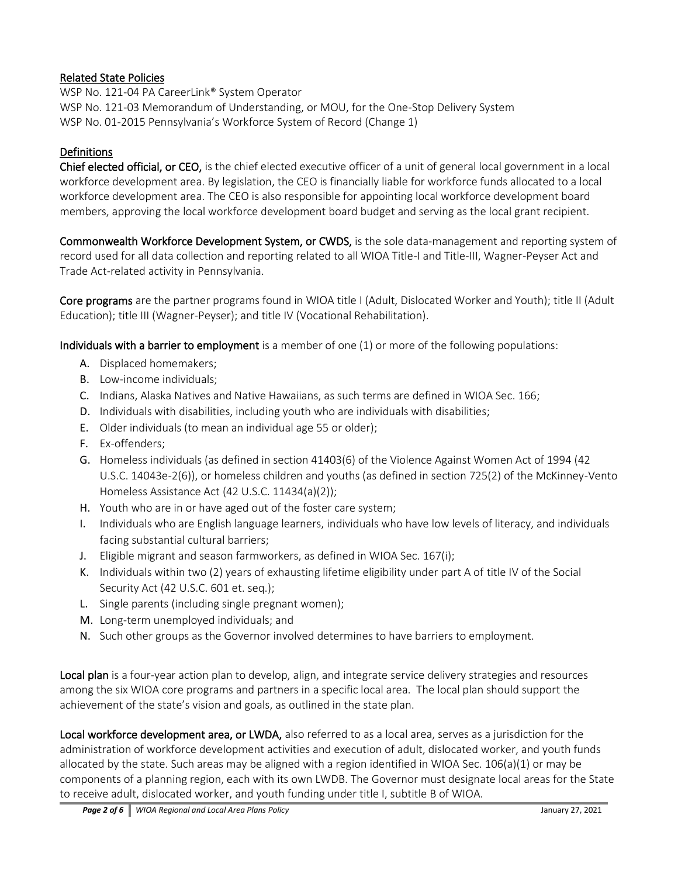# Related State Policies

WSP No. 121-04 PA CareerLink® System Operator WSP No. 121-03 Memorandum of Understanding, or MOU, for the One-Stop Delivery System WSP No. 01-2015 Pennsylvania's Workforce System of Record (Change 1)

### **Definitions**

Chief elected official, or CEO,is the chief elected executive officer of a unit of general local government in a local workforce development area. By legislation, the CEO is financially liable for workforce funds allocated to a local workforce development area. The CEO is also responsible for appointing local workforce development board members, approving the local workforce development board budget and serving as the local grant recipient.

Commonwealth Workforce Development System, or CWDS,is the sole data-management and reporting system of record used for all data collection and reporting related to all WIOA Title-I and Title-III, Wagner-Peyser Act and Trade Act-related activity in Pennsylvania.

Core programsare the partner programs found in WIOA title I (Adult, Dislocated Worker and Youth); title II (Adult Education); title III (Wagner-Peyser); and title IV (Vocational Rehabilitation).

Individuals with a barrier to employmentis a member of one (1) or more of the following populations:

- A. Displaced homemakers;
- B. Low-income individuals;
- C. Indians, Alaska Natives and Native Hawaiians, as such terms are defined in WIOA Sec. 166;
- D. Individuals with disabilities, including youth who are individuals with disabilities;
- E. Older individuals (to mean an individual age 55 or older);
- F. Ex-offenders;
- G. Homeless individuals (as defined in section 41403(6) of the Violence Against Women Act of 1994 (42 U.S.C. 14043e-2(6)), or homeless children and youths (as defined in section 725(2) of the McKinney-Vento Homeless Assistance Act (42 U.S.C. 11434(a)(2));
- H. Youth who are in or have aged out of the foster care system;
- I. Individuals who are English language learners, individuals who have low levels of literacy, and individuals facing substantial cultural barriers;
- J. Eligible migrant and season farmworkers, as defined in WIOA Sec. 167(i);
- K. Individuals within two (2) years of exhausting lifetime eligibility under part A of title IV of the Social Security Act (42 U.S.C. 601 et. seq.);
- L. Single parents (including single pregnant women);
- M. Long-term unemployed individuals; and
- N. Such other groups as the Governor involved determines to have barriers to employment.

Local plan is a four-year action plan to develop, align, and integrate service delivery strategies and resources among the six WIOA core programs and partners in a specific local area. The local plan should support the achievement of the state's vision and goals, as outlined in the state plan.

Local workforce development area, or LWDA, also referred to as a local area, serves as a jurisdiction for the administration of workforce development activities and execution of adult, dislocated worker, and youth funds allocated by the state. Such areas may be aligned with a region identified in WIOA Sec. 106(a)(1) or may be components of a planning region, each with its own LWDB. The Governor must designate local areas for the State to receive adult, dislocated worker, and youth funding under title I, subtitle B of WIOA.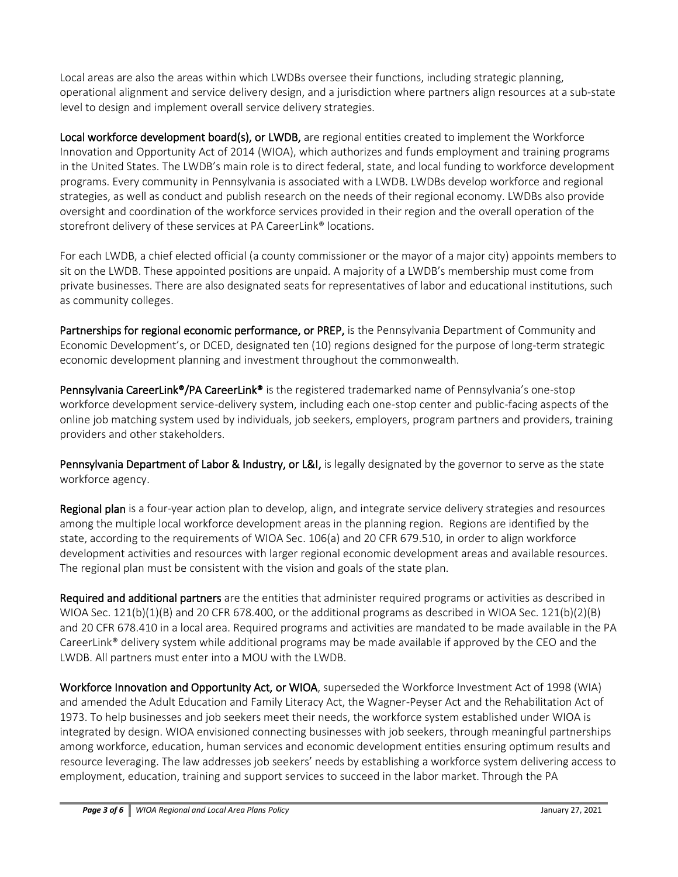Local areas are also the areas within which LWDBs oversee their functions, including strategic planning, operational alignment and service delivery design, and a jurisdiction where partners align resources at a sub-state level to design and implement overall service delivery strategies.

Local workforce development board(s), or LWDB, are regional entities created to implement the Workforce Innovation and Opportunity Act of 2014 (WIOA), which authorizes and funds employment and training programs in the United States. The LWDB's main role is to direct federal, state, and local funding to workforce development programs. Every community in Pennsylvania is associated with a LWDB. LWDBs develop workforce and regional strategies, as well as conduct and publish research on the needs of their regional economy. LWDBs also provide oversight and coordination of the workforce services provided in their region and the overall operation of the storefront delivery of these services at PA CareerLink<sup>®</sup> locations.

For each LWDB, a chief elected official (a county commissioner or the mayor of a major city) appoints members to sit on the LWDB. These appointed positions are unpaid. A majority of a LWDB's membership must come from private businesses. There are also designated seats for representatives of labor and educational institutions, such as community colleges.

Partnerships for regional economic performance, or PREP,is the Pennsylvania Department of Community and Economic Development's, or DCED, designated ten (10) regions designed for the purpose of long-term strategic economic development planning and investment throughout the commonwealth.

Pennsylvania CareerLink<sup>®</sup>/PA CareerLink<sup>®</sup> is the registered trademarked name of Pennsylvania's one-stop workforce development service-delivery system, including each one-stop center and public-facing aspects of the online job matching system used by individuals, job seekers, employers, program partners and providers, training providers and other stakeholders.

Pennsylvania Department of Labor & Industry, or L&I, is legally designated by the governor to serve as the state workforce agency.

Regional plan is a four-year action plan to develop, align, and integrate service delivery strategies and resources among the multiple local workforce development areas in the planning region. Regions are identified by the state, according to the requirements of WIOA Sec. 106(a) and 20 CFR 679.510, in order to align workforce development activities and resources with larger regional economic development areas and available resources. The regional plan must be consistent with the vision and goals of the state plan.

Required and additional partners are the entities that administer required programs or activities as described in WIOA Sec.  $121(b)(1)(B)$  and 20 CFR 678.400, or the additional programs as described in WIOA Sec.  $121(b)(2)(B)$ and 20 CFR 678.410 in a local area. Required programs and activities are mandated to be made available in the PA CareerLink® delivery system while additional programs may be made available if approved by the CEO and the LWDB. All partners must enter into a MOU with the LWDB.

Workforce Innovation and Opportunity Act, or WIOA, superseded the Workforce Investment Act of 1998 (WIA) and amended the Adult Education and Family Literacy Act, the Wagner-Peyser Act and the Rehabilitation Act of 1973. To help businesses and job seekers meet their needs, the workforce system established under WIOA is integrated by design. WIOA envisioned connecting businesses with job seekers, through meaningful partnerships among workforce, education, human services and economic development entities ensuring optimum results and resource leveraging. The law addresses job seekers' needs by establishing a workforce system delivering access to employment, education, training and support services to succeed in the labor market. Through the PA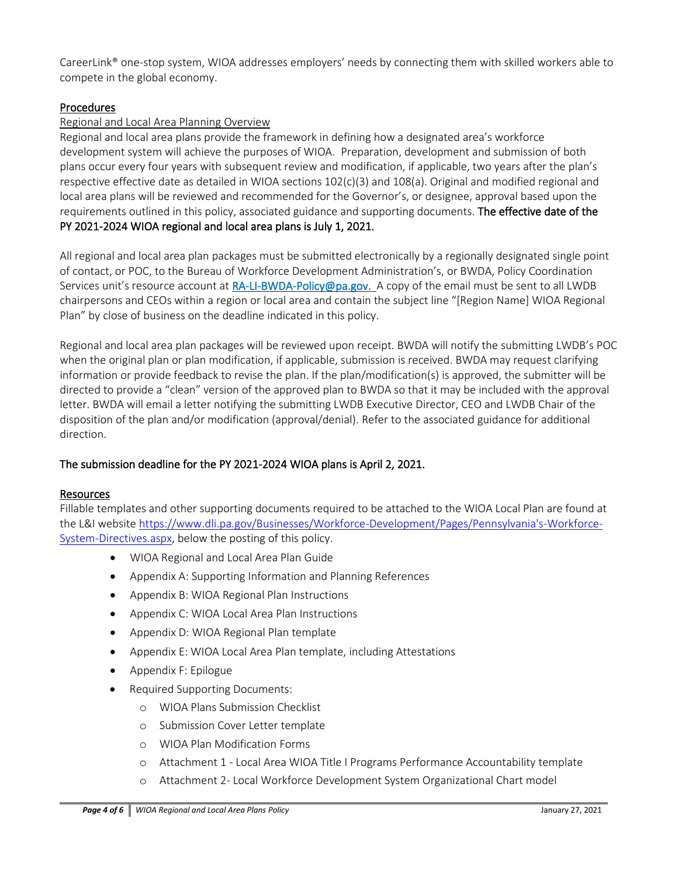CareerLink® one-stop system, WIOA addresses employers' needs by connecting them with skilled workers able to compete in the global economy.

# Procedures

# Regional and Local Area Planning Overview

Regional and local area plans provide the framework in defining how a designated area's workforce development system will achieve the purposes of WIOA. Preparation, development and submission of both plans occur every four years with subsequent review and modification, if applicable, two years after the plan's respective effective date as detailed in WIOA sections 102(c)(3) and 108(a). Original and modified regional and local area plans will be reviewed and recommended for the Governor's, or designee, approval based upon the requirements outlined in this policy, associated guidance and supporting documents. The effective date of the PY 2021-2024 WIOAregional and local area plans is July 1, 2021.

All regional and local area plan packages must be submitted electronically by a regionally designated single point of contact, or POC, to the Bureau of Workforce Development Administration's, or BWDA, Policy Coordination Services unit's resource account at [RA-LI-BWDA-Policy@pa.gov.](mailto:RA-LI-BWDA-Policy@pa.gov) A copy of the email must be sent to all LWDB chairpersons and CEOs within a region or local area and contain the subject line "[Region Name] WIOA Regional Plan" by close of business on the deadline indicated in this policy.

Regional and local area plan packages will be reviewed upon receipt. BWDA will notify the submitting LWDB's POC when the original plan or plan modification, if applicable, submission is received. BWDA may request clarifying information or provide feedback to revise the plan. If the plan/modification(s) is approved, the submitter will be directed to provide a "clean" version of the approved plan to BWDA so that it may be included with the approval letter. BWDA will email a letter notifying the submitting LWDB Executive Director, CEO and LWDB Chair of the disposition of the plan and/or modification (approval/denial). Refer to the associated guidance for additional direction.

# The submission deadline for the PY 2021-2024 WIOA plans is April 2, 2021.

# Resources

Fillable templates and other supporting documents required to be attached to the WIOA Local Plan are found at the L&I website [https://www.dli.pa.gov/Businesses/Workforce-Development/Pages/Pennsylvania's-Workforce-](https://www.dli.pa.gov/Businesses/Workforce-Development/Pages/Pennsylvania)[System-Directives.aspx,](https://www.dli.pa.gov/Businesses/Workforce-Development/Pages/Pennsylvania) below the posting of this policy.

- WIOA Regional and Local Area Plan Guide
- Appendix A: Supporting Information and Planning References
- Appendix B: WIOA Regional Plan Instructions
- Appendix C: WIOA Local Area Plan Instructions
- Appendix D: WIOA Regional Plan template
- Appendix E: WIOA Local Area Plan template, including Attestations
- Appendix F: Epilogue
- Required Supporting Documents:
	- o WIOA Plans Submission Checklist
	- o Submission Cover Letter template
	- o WIOA Plan Modification Forms
	- o Attachment 1 Local Area WIOA Title I Programs Performance Accountability template
	- o Attachment 2- Local Workforce Development System Organizational Chart model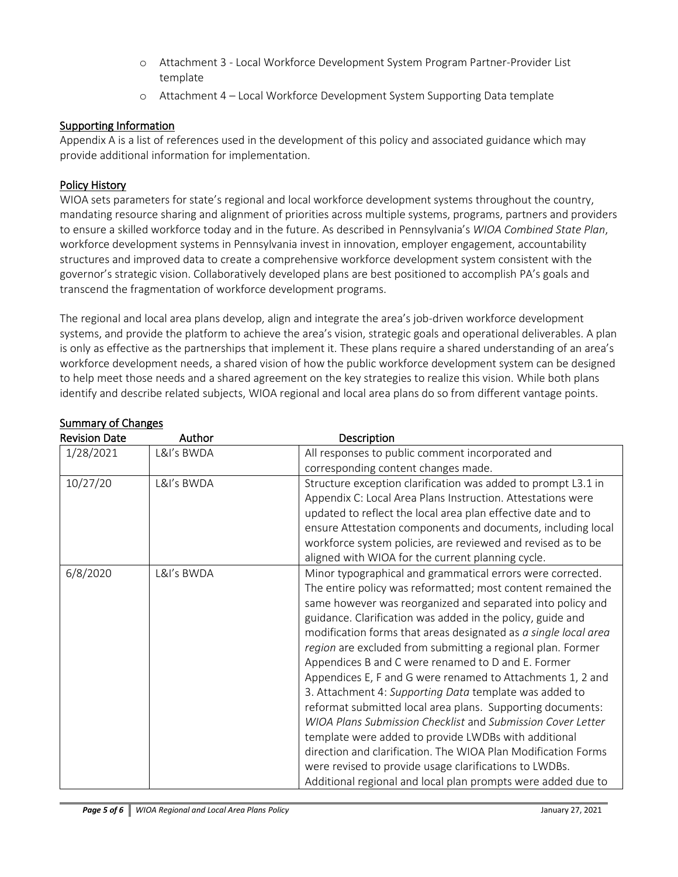- o Attachment 3 Local Workforce Development System Program Partner-Provider List template
- o Attachment 4 Local Workforce Development System Supporting Data template

# Supporting Information

Appendix A is a list of references used in the development of this policy and associated guidance which may provide additional information for implementation.

# Policy History

WIOA sets parameters for state's regional and local workforce development systems throughout the country, mandating resource sharing and alignment of priorities across multiple systems, programs, partners and providers to ensure a skilled workforce today and in the future. As described in Pennsylvania's *WIOA Combined State Plan*, workforce development systems in Pennsylvania invest in innovation, employer engagement, accountability structures and improved data to create a comprehensive workforce development system consistent with the governor's strategic vision. Collaboratively developed plans are best positioned to accomplish PA's goals and transcend the fragmentation of workforce development programs.

The regional and local area plans develop, align and integrate the area's job-driven workforce development systems, and provide the platform to achieve the area's vision, strategic goals and operational deliverables. A plan is only as effective as the partnerships that implement it. These plans require a shared understanding of an area's workforce development needs, a shared vision of how the public workforce development system can be designed to help meet those needs and a shared agreement on the key strategies to realize this vision. While both plans identify and describe related subjects, WIOA regional and local area plans do so from different vantage points.

| <b>Revision Date</b> | Author     | Description                                                     |
|----------------------|------------|-----------------------------------------------------------------|
| 1/28/2021            | L&I's BWDA | All responses to public comment incorporated and                |
|                      |            | corresponding content changes made.                             |
| 10/27/20             | L&I's BWDA | Structure exception clarification was added to prompt L3.1 in   |
|                      |            | Appendix C: Local Area Plans Instruction. Attestations were     |
|                      |            | updated to reflect the local area plan effective date and to    |
|                      |            | ensure Attestation components and documents, including local    |
|                      |            | workforce system policies, are reviewed and revised as to be    |
|                      |            | aligned with WIOA for the current planning cycle.               |
| 6/8/2020             | L&I's BWDA | Minor typographical and grammatical errors were corrected.      |
|                      |            | The entire policy was reformatted; most content remained the    |
|                      |            | same however was reorganized and separated into policy and      |
|                      |            | guidance. Clarification was added in the policy, guide and      |
|                      |            | modification forms that areas designated as a single local area |
|                      |            | region are excluded from submitting a regional plan. Former     |
|                      |            | Appendices B and C were renamed to D and E. Former              |
|                      |            | Appendices E, F and G were renamed to Attachments 1, 2 and      |
|                      |            | 3. Attachment 4: Supporting Data template was added to          |
|                      |            | reformat submitted local area plans. Supporting documents:      |
|                      |            | WIOA Plans Submission Checklist and Submission Cover Letter     |
|                      |            | template were added to provide LWDBs with additional            |
|                      |            | direction and clarification. The WIOA Plan Modification Forms   |
|                      |            | were revised to provide usage clarifications to LWDBs.          |
|                      |            | Additional regional and local plan prompts were added due to    |

# Summary of Changes